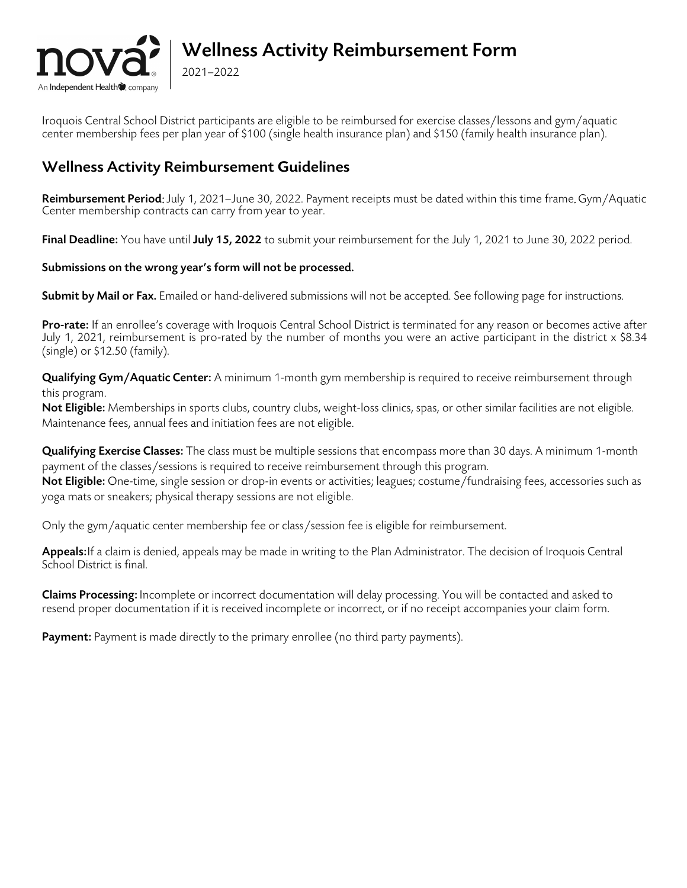

## Wellness Activity Reimbursement Form

Iroquois Central School District participants are eligible to be reimbursed for exercise classes/lessons and gym/aquatic center membership fees per plan year of \$100 (single health insurance plan) and \$150 (family health insurance plan).

### Wellness Activity Reimbursement Guidelines

2021–2022

Reimbursement Period: July 1, 2021–June 30, 2022. Payment receipts must be dated within this time frame. Gym/Aquatic Center membership contracts can carry from year to year.

Final Deadline: You have until July 15, 2022 to submit your reimbursement for the July 1, 2021 to June 30, 2022 period.

#### Submissions on the wrong year's form will not be processed.

Submit by Mail or Fax. Emailed or hand-delivered submissions will not be accepted. See following page for instructions.

**Pro-rate:** If an enrollee's coverage with Iroquois Central School District is terminated for any reason or becomes active after July 1, 2021, reimbursement is pro-rated by the number of months you were an active participant in the district x \$8.34 (single) or \$12.50 (family).

Qualifying Gym/Aquatic Center: A minimum 1-month gym membership is required to receive reimbursement through this program.

Not Eligible: Memberships in sports clubs, country clubs, weight-loss clinics, spas, or other similar facilities are not eligible. Maintenance fees, annual fees and initiation fees are not eligible.

Qualifying Exercise Classes: The class must be multiple sessions that encompass more than 30 days. A minimum 1-month payment of the classes/sessions is required to receive reimbursement through this program.

Not Eligible: One-time, single session or drop-in events or activities; leagues; costume/fundraising fees, accessories such as yoga mats or sneakers; physical therapy sessions are not eligible.

Only the gym/aquatic center membership fee or class/session fee is eligible for reimbursement.

Appeals: If a claim is denied, appeals may be made in writing to the Plan Administrator. The decision of Iroquois Central School District is final.

**Claims Processing:** Incomplete or incorrect documentation will delay processing. You will be contacted and asked to resend proper documentation if it is received incomplete or incorrect, or if no receipt accompanies your claim form.

Payment: Payment is made directly to the primary enrollee (no third party payments).